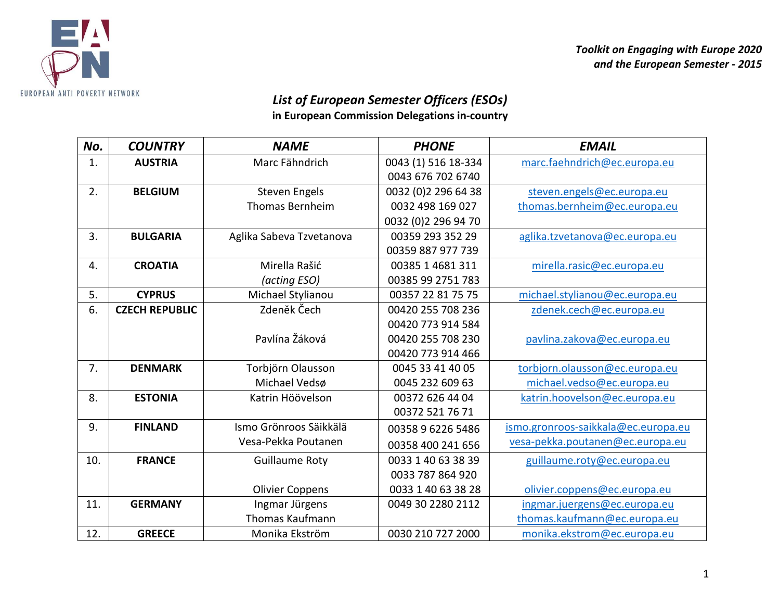

*Toolkit on Engaging with Europe 2020 and the European Semester - 2015*

## *List of European Semester Officers (ESOs)*

**in European Commission Delegations in-country**

| No. | <b>COUNTRY</b>        | <b>NAME</b>              | <b>PHONE</b>        | <b>EMAIL</b>                        |
|-----|-----------------------|--------------------------|---------------------|-------------------------------------|
| 1.  | <b>AUSTRIA</b>        | Marc Fähndrich           | 0043 (1) 516 18-334 | marc.faehndrich@ec.europa.eu        |
|     |                       |                          | 0043 676 702 6740   |                                     |
| 2.  | <b>BELGIUM</b>        | <b>Steven Engels</b>     | 0032 (0)2 296 64 38 | steven.engels@ec.europa.eu          |
|     |                       | <b>Thomas Bernheim</b>   | 0032 498 169 027    | thomas.bernheim@ec.europa.eu        |
|     |                       |                          | 0032 (0)2 296 94 70 |                                     |
| 3.  | <b>BULGARIA</b>       | Aglika Sabeva Tzvetanova | 00359 293 352 29    | aglika.tzvetanova@ec.europa.eu      |
|     |                       |                          | 00359 887 977 739   |                                     |
| 4.  | <b>CROATIA</b>        | Mirella Rašić            | 00385 1 4681 311    | mirella.rasic@ec.europa.eu          |
|     |                       | (acting ESO)             | 00385 99 2751 783   |                                     |
| 5.  | <b>CYPRUS</b>         | Michael Stylianou        | 00357 22 81 75 75   | michael.stylianou@ec.europa.eu      |
| 6.  | <b>CZECH REPUBLIC</b> | Zdeněk Čech              | 00420 255 708 236   | zdenek.cech@ec.europa.eu            |
|     |                       |                          | 00420 773 914 584   |                                     |
|     |                       | Pavlína Žáková           | 00420 255 708 230   | pavlina.zakova@ec.europa.eu         |
|     |                       |                          | 00420 773 914 466   |                                     |
| 7.  | <b>DENMARK</b>        | Torbjörn Olausson        | 0045 33 41 40 05    | torbjorn.olausson@ec.europa.eu      |
|     |                       | Michael Vedsø            | 0045 232 609 63     | michael.vedso@ec.europa.eu          |
| 8.  | <b>ESTONIA</b>        | Katrin Höövelson         | 00372 626 44 04     | katrin.hoovelson@ec.europa.eu       |
|     |                       |                          | 00372 521 76 71     |                                     |
| 9.  | <b>FINLAND</b>        | Ismo Grönroos Säikkälä   | 00358 9 6226 5486   | ismo.gronroos-saikkala@ec.europa.eu |
|     |                       | Vesa-Pekka Poutanen      | 00358 400 241 656   | vesa-pekka.poutanen@ec.europa.eu    |
| 10. | <b>FRANCE</b>         | <b>Guillaume Roty</b>    | 0033 1 40 63 38 39  | guillaume.roty@ec.europa.eu         |
|     |                       |                          | 0033 787 864 920    |                                     |
|     |                       | <b>Olivier Coppens</b>   | 0033 1 40 63 38 28  | olivier.coppens@ec.europa.eu        |
| 11. | <b>GERMANY</b>        | Ingmar Jürgens           | 0049 30 2280 2112   | ingmar.juergens@ec.europa.eu        |
|     |                       | <b>Thomas Kaufmann</b>   |                     | thomas.kaufmann@ec.europa.eu        |
| 12. | <b>GREECE</b>         | Monika Ekström           | 0030 210 727 2000   | monika.ekstrom@ec.europa.eu         |